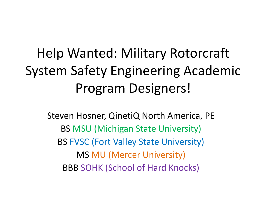### Help Wanted: Military Rotorcraft System Safety Engineering Academic Program Designers!

Steven Hosner, QinetiQ North America, PE BS MSU (Michigan State University) BS FVSC (Fort Valley State University) MS MU (Mercer University) BBB SOHK (School of Hard Knocks)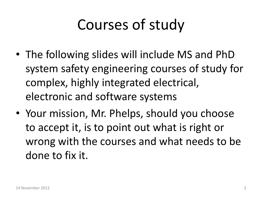### Courses of study

- The following slides will include MS and PhD system safety engineering courses of study for complex, highly integrated electrical, electronic and software systems
- Your mission, Mr. Phelps, should you choose to accept it, is to point out what is right or wrong with the courses and what needs to be done to fix it.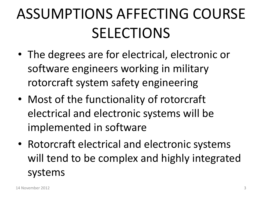## ASSUMPTIONS AFFECTING COURSE SELECTIONS

- The degrees are for electrical, electronic or software engineers working in military rotorcraft system safety engineering
- Most of the functionality of rotorcraft electrical and electronic systems will be implemented in software
- Rotorcraft electrical and electronic systems will tend to be complex and highly integrated systems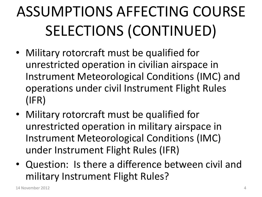- Military rotorcraft must be qualified for unrestricted operation in civilian airspace in Instrument Meteorological Conditions (IMC) and operations under civil Instrument Flight Rules (IFR)
- Military rotorcraft must be qualified for unrestricted operation in military airspace in Instrument Meteorological Conditions (IMC) under Instrument Flight Rules (IFR)
- Question: Is there a difference between civil and military Instrument Flight Rules?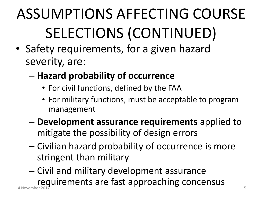- Safety requirements, for a given hazard severity, are:
	- **Hazard probability of occurrence**
		- For civil functions, defined by the FAA
		- For military functions, must be acceptable to program management
	- **Development assurance requirements** applied to mitigate the possibility of design errors
	- Civilian hazard probability of occurrence is more stringent than military
- Civil and military development assurance requirements are fast approaching concensus 14 November 2012 5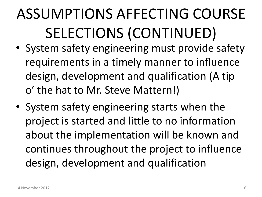- System safety engineering must provide safety requirements in a timely manner to influence design, development and qualification (A tip o' the hat to Mr. Steve Mattern!)
- System safety engineering starts when the project is started and little to no information about the implementation will be known and continues throughout the project to influence design, development and qualification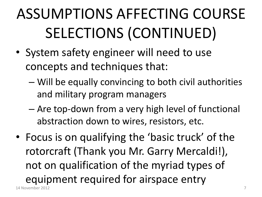- System safety engineer will need to use concepts and techniques that:
	- Will be equally convincing to both civil authorities and military program managers
	- Are top-down from a very high level of functional abstraction down to wires, resistors, etc.
- Focus is on qualifying the 'basic truck' of the rotorcraft (Thank you Mr. Garry Mercaldi!), not on qualification of the myriad types of equipment required for airspace entry 14 November 2012 7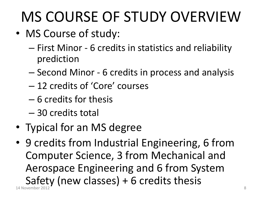## MS COURSE OF STUDY OVERVIEW

- MS Course of study:
	- First Minor 6 credits in statistics and reliability prediction
	- Second Minor 6 credits in process and analysis
	- 12 credits of 'Core' courses
	- 6 credits for thesis
	- 30 credits total
- Typical for an MS degree
- 9 credits from Industrial Engineering, 6 from Computer Science, 3 from Mechanical and Aerospace Engineering and 6 from System Safety (new classes) + 6 credits thesis 14 November 2012 **8**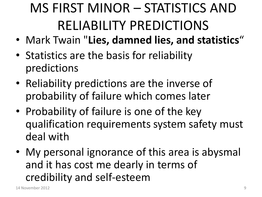### MS FIRST MINOR – STATISTICS AND RELIABILITY PREDICTIONS

- Mark Twain "**Lies, damned lies, and statistics**"
- Statistics are the basis for reliability predictions
- Reliability predictions are the inverse of probability of failure which comes later
- Probability of failure is one of the key qualification requirements system safety must deal with
- My personal ignorance of this area is abysmal and it has cost me dearly in terms of credibility and self-esteem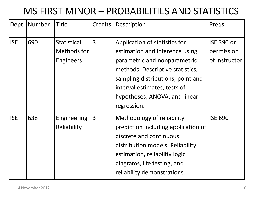#### MS FIRST MINOR – PROBABILITIES AND STATISTICS

| Dept       | <b>Number</b> | <b>Title</b>                                   | Credits        | Description                                                                                                                                                                                                                                              | Pregs                                            |
|------------|---------------|------------------------------------------------|----------------|----------------------------------------------------------------------------------------------------------------------------------------------------------------------------------------------------------------------------------------------------------|--------------------------------------------------|
| <b>ISE</b> | 690           | <b>Statistical</b><br>Methods for<br>Engineers | 3              | Application of statistics for<br>estimation and inference using<br>parametric and nonparametric<br>methods. Descriptive statistics,<br>sampling distributions, point and<br>interval estimates, tests of<br>hypotheses, ANOVA, and linear<br>regression. | <b>ISE 390 or</b><br>permission<br>of instructor |
| <b>ISE</b> | 638           | <b>Engineering</b><br>Reliability              | $\overline{3}$ | Methodology of reliability<br>prediction including application of<br>discrete and continuous<br>distribution models. Reliability<br>estimation, reliability logic<br>diagrams, life testing, and<br>reliability demonstrations.                          | <b>ISE 690</b>                                   |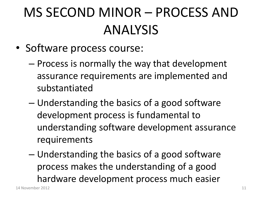### MS SECOND MINOR – PROCESS AND ANALYSIS

- Software process course:
	- Process is normally the way that development assurance requirements are implemented and substantiated
	- Understanding the basics of a good software development process is fundamental to understanding software development assurance requirements
	- Understanding the basics of a good software process makes the understanding of a good hardware development process much easier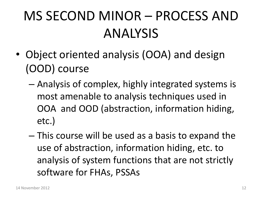### MS SECOND MINOR – PROCESS AND ANALYSIS

- Object oriented analysis (OOA) and design (OOD) course
	- Analysis of complex, highly integrated systems is most amenable to analysis techniques used in OOA and OOD (abstraction, information hiding, etc.)
	- This course will be used as a basis to expand the use of abstraction, information hiding, etc. to analysis of system functions that are not strictly software for FHAs, PSSAs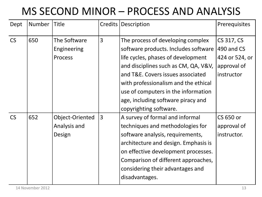#### MS SECOND MINOR – PROCESS AND ANALYSIS

| Dept      | Number | <b>Title</b>                                  | Credits        | Description                                                                                                                                                                                                                                                                                                                                 | Prerequisites                                                           |
|-----------|--------|-----------------------------------------------|----------------|---------------------------------------------------------------------------------------------------------------------------------------------------------------------------------------------------------------------------------------------------------------------------------------------------------------------------------------------|-------------------------------------------------------------------------|
| CS        | 650    | The Software<br>Engineering<br><b>Process</b> | 3              | The process of developing complex<br>software products. Includes software<br>life cycles, phases of development<br>and disciplines such as CM, QA, V&V,<br>and T&E. Covers issues associated<br>with professionalism and the ethical<br>use of computers in the information<br>age, including software piracy and<br>copyrighting software. | CS 317, CS<br>490 and CS<br>424 or 524, or<br>approval of<br>instructor |
| <b>CS</b> | 652    | Object-Oriented<br>Analysis and<br>Design     | $\overline{3}$ | A survey of formal and informal<br>techniques and methodologies for<br>software analysis, requirements,<br>architecture and design. Emphasis is<br>on effective development processes.<br>Comparison of different approaches,<br>considering their advantages and<br>disadvantages.                                                         | CS 650 or<br>approval of<br>instructor.                                 |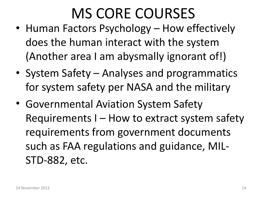### MS CORE COURSES

- Human Factors Psychology How effectively does the human interact with the system (Another area I am abysmally ignorant of!)
- System Safety Analyses and programmatics for system safety per NASA and the military
- Governmental Aviation System Safety Requirements I – How to extract system safety requirements from government documents such as FAA regulations and guidance, MIL-STD-882, etc.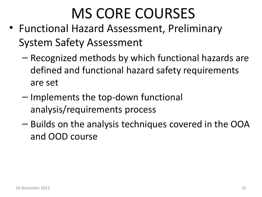### MS CORE COURSES

- Functional Hazard Assessment, Preliminary System Safety Assessment
	- Recognized methods by which functional hazards are defined and functional hazard safety requirements are set
	- Implements the top-down functional analysis/requirements process
	- Builds on the analysis techniques covered in the OOA and OOD course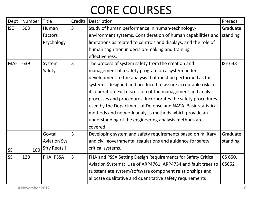#### CORE COURSES

| Dept            | Number | Title               | Credits        | Description                                                      | Preregs        |
|-----------------|--------|---------------------|----------------|------------------------------------------------------------------|----------------|
| <b>ISE</b>      | 503    | Human               | $\overline{3}$ | Study of human performance in human-technology-                  | Graduate       |
|                 |        | Factors             |                | environment systems. Consideration of human capabilities and     | standing       |
|                 |        | Psychology          |                | limitations as related to controls and displays, and the role of |                |
|                 |        |                     |                | human cognition in decision-making and training                  |                |
|                 |        |                     |                | effectiveness.                                                   |                |
| <b>MAE</b>      | 639    | System              | $\overline{3}$ | The process of system safety from the creation and               | <b>ISE 638</b> |
|                 |        | Safety              |                | management of a safety program on a system under                 |                |
|                 |        |                     |                | development to the analysis that must be performed as this       |                |
|                 |        |                     |                | system is designed and produced to assure acceptable risk in     |                |
|                 |        |                     |                | its operation. Full discussion of the management and analysis    |                |
|                 |        |                     |                | processes and procedures. Incorporates the safety procedures     |                |
|                 |        |                     |                | used by the Department of Defense and NASA. Basic statistical    |                |
|                 |        |                     |                | methods and network analysis methods which provide an            |                |
|                 |        |                     |                | understanding of the engineering analysis methods are            |                |
|                 |        |                     |                | covered.                                                         |                |
|                 |        | Govtal              | $\overline{3}$ | Developing system and safety requirements based on military      | Graduate       |
|                 |        | <b>Aviation Sys</b> |                | and civil governmental regulations and guidance for safety       | standing       |
| SS <sub>1</sub> | 100    | <b>Sfty Regts I</b> |                | critical systems.                                                |                |
| <b>SS</b>       | 120    | FHA, PSSA           | $\overline{3}$ | FHA and PSSA Setting Design Requirements for Safety Critical     | CS 650,        |
|                 |        |                     |                | Aviation Systems; Use of ARP4761, ARP4754 and fault trees to     | CS652          |
|                 |        |                     |                | substantiate system/software component relationships and         |                |
|                 |        |                     |                | allocate qualitative and quantitative safety requirements        |                |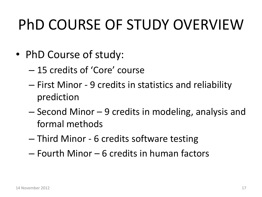### PhD COURSE OF STUDY OVERVIEW

- PhD Course of study:
	- 15 credits of 'Core' course
	- First Minor 9 credits in statistics and reliability prediction
	- Second Minor 9 credits in modeling, analysis and formal methods
	- Third Minor 6 credits software testing
	- Fourth Minor 6 credits in human factors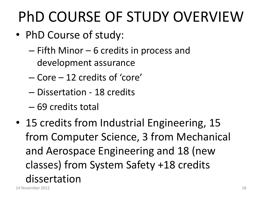### PhD COURSE OF STUDY OVERVIEW

- PhD Course of study:
	- Fifth Minor 6 credits in process and development assurance
	- Core 12 credits of 'core'
	- Dissertation 18 credits
	- 69 credits total
- 15 credits from Industrial Engineering, 15 from Computer Science, 3 from Mechanical and Aerospace Engineering and 18 (new classes) from System Safety +18 credits dissertation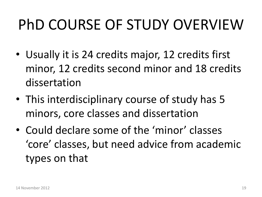### PhD COURSE OF STUDY OVERVIEW

- Usually it is 24 credits major, 12 credits first minor, 12 credits second minor and 18 credits dissertation
- This interdisciplinary course of study has 5 minors, core classes and dissertation
- Could declare some of the 'minor' classes 'core' classes, but need advice from academic types on that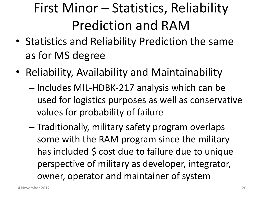### First Minor – Statistics, Reliability Prediction and RAM

- Statistics and Reliability Prediction the same as for MS degree
- Reliability, Availability and Maintainability
	- Includes MIL-HDBK-217 analysis which can be used for logistics purposes as well as conservative values for probability of failure
	- Traditionally, military safety program overlaps some with the RAM program since the military has included \$ cost due to failure due to unique perspective of military as developer, integrator, owner, operator and maintainer of system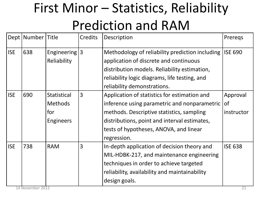### First Minor – Statistics, Reliability Prediction and RAM

|            | Dept   Number   Title |                    | Credits        | Description                                     | Preregs        |
|------------|-----------------------|--------------------|----------------|-------------------------------------------------|----------------|
| <b>ISE</b> | 638                   | Engineering $ 3 $  |                | Methodology of reliability prediction including | <b>ISE 690</b> |
|            |                       | Reliability        |                | application of discrete and continuous          |                |
|            |                       |                    |                | distribution models. Reliability estimation,    |                |
|            |                       |                    |                | reliability logic diagrams, life testing, and   |                |
|            |                       |                    |                | reliability demonstrations.                     |                |
| <b>ISE</b> | 690                   | <b>Statistical</b> | $ 3\rangle$    | Application of statistics for estimation and    | Approval       |
|            |                       | <b>Methods</b>     |                | inference using parametric and nonparametric    | <b>of</b>      |
|            |                       | for                |                | methods. Descriptive statistics, sampling       | instructor     |
|            |                       | Engineers          |                | distributions, point and interval estimates,    |                |
|            |                       |                    |                | tests of hypotheses, ANOVA, and linear          |                |
|            |                       |                    |                | regression.                                     |                |
| <b>ISE</b> | 738                   | <b>RAM</b>         | $\overline{3}$ | In-depth application of decision theory and     | <b>ISE 638</b> |
|            |                       |                    |                | MIL-HDBK-217, and maintenance engineering       |                |
|            |                       |                    |                | techniques in order to achieve targeted         |                |
|            |                       |                    |                | reliability, availability and maintainability   |                |
|            |                       |                    |                | design goals.                                   |                |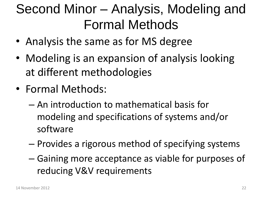#### Second Minor – Analysis, Modeling and Formal Methods

- Analysis the same as for MS degree
- Modeling is an expansion of analysis looking at different methodologies
- Formal Methods:
	- An introduction to mathematical basis for modeling and specifications of systems and/or software
	- Provides a rigorous method of specifying systems
	- Gaining more acceptance as viable for purposes of reducing V&V requirements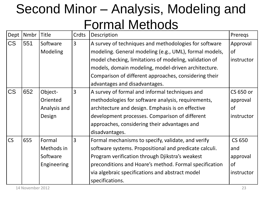#### Second Minor – Analysis, Modeling and Formal Methods

| Dept      | Nmbr | <b>Title</b> | Crdts          | Description                                            | Preregs       |
|-----------|------|--------------|----------------|--------------------------------------------------------|---------------|
| <b>CS</b> | 551  | Software     | 3              | A survey of techniques and methodologies for software  | Approval      |
|           |      | Modeling     |                | modeling. General modeling (e.g., UML), formal models, | <sub>of</sub> |
|           |      |              |                | model checking, limitations of modeling, validation of | instructor    |
|           |      |              |                | models, domain modeling, model-driven architecture.    |               |
|           |      |              |                | Comparison of different approaches, considering their  |               |
|           |      |              |                | advantages and disadvantages.                          |               |
| <b>CS</b> | 652  | Object-      | $\overline{3}$ | A survey of formal and informal techniques and         | CS 650 or     |
|           |      | Oriented     |                | methodologies for software analysis, requirements,     | approval      |
|           |      | Analysis and |                | architecture and design. Emphasis is on effective      | 0f            |
|           |      | Design       |                | development processes. Comparison of different         | instructor    |
|           |      |              |                | approaches, considering their advantages and           |               |
|           |      |              |                | disadvantages.                                         |               |
| CS        | 655  | Formal       | $\overline{3}$ | Formal mechanisms to specify, validate, and verify     | <b>CS 650</b> |
|           |      | Methods in   |                | software systems. Propositional and predicate calculi. | and           |
|           |      | Software     |                | Program verification through Djikstra's weakest        | approval      |
|           |      | Engineering  |                | preconditions and Hoare's method. Formal specification | <sub>of</sub> |
|           |      |              |                | via algebraic specifications and abstract model        | instructor    |
|           |      |              |                | specifications.                                        |               |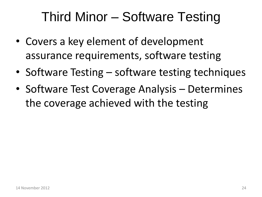#### Third Minor – Software Testing

- Covers a key element of development assurance requirements, software testing
- Software Testing software testing techniques
- Software Test Coverage Analysis Determines the coverage achieved with the testing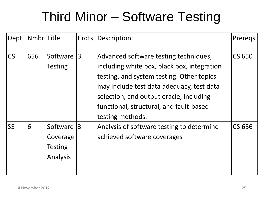#### Third Minor – Software Testing

| Dept      | Nmbr Title |                                             | Crdts | Description                                                                                                                                                                                                                                                                              | Preregs       |
|-----------|------------|---------------------------------------------|-------|------------------------------------------------------------------------------------------------------------------------------------------------------------------------------------------------------------------------------------------------------------------------------------------|---------------|
| <b>CS</b> | 656        | Software<br>Testing                         | 3     | Advanced software testing techniques,<br>including white box, black box, integration<br>testing, and system testing. Other topics<br>may include test data adequacy, test data<br>selection, and output oracle, including<br>functional, structural, and fault-based<br>testing methods. | <b>CS 650</b> |
| <b>SS</b> | 6          | Software<br>Coverage<br>Testing<br>Analysis | 3     | Analysis of software testing to determine<br>achieved software coverages                                                                                                                                                                                                                 | CS 656        |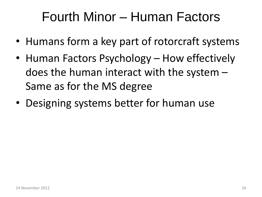#### Fourth Minor – Human Factors

- Humans form a key part of rotorcraft systems
- Human Factors Psychology How effectively does the human interact with the system – Same as for the MS degree
- Designing systems better for human use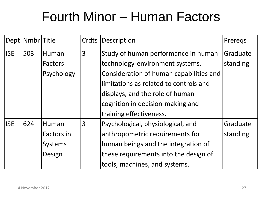#### Fourth Minor – Human Factors

|            | Dept   Nmbr   Title |                | Crdts | Description                             | Preregs  |
|------------|---------------------|----------------|-------|-----------------------------------------|----------|
| <b>ISE</b> | 503                 | Human          | 3     | Study of human performance in human-    | Graduate |
|            |                     | <b>Factors</b> |       | technology-environment systems.         | standing |
|            |                     | Psychology     |       | Consideration of human capabilities and |          |
|            |                     |                |       | limitations as related to controls and  |          |
|            |                     |                |       | displays, and the role of human         |          |
|            |                     |                |       | cognition in decision-making and        |          |
|            |                     |                |       | training effectiveness.                 |          |
| <b>ISE</b> | 624                 | Human          | 3     | Psychological, physiological, and       | Graduate |
|            |                     | Factors in     |       | anthropometric requirements for         | standing |
|            |                     | <b>Systems</b> |       | human beings and the integration of     |          |
|            |                     | Design         |       | these requirements into the design of   |          |
|            |                     |                |       | tools, machines, and systems.           |          |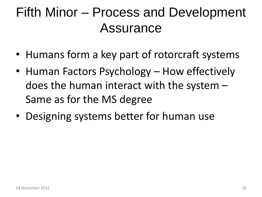#### Fifth Minor – Process and Development Assurance

- Humans form a key part of rotorcraft systems
- Human Factors Psychology How effectively does the human interact with the system – Same as for the MS degree
- Designing systems better for human use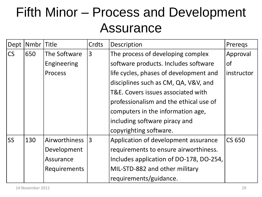#### Fifth Minor – Process and Development Assurance

| Dept      | Nmbr | <b>Title</b>        | Crdts          | Description                             | Preregs    |
|-----------|------|---------------------|----------------|-----------------------------------------|------------|
| <b>CS</b> | 650  | The Software        | $\overline{3}$ | The process of developing complex       | Approval   |
|           |      | Engineering         |                | software products. Includes software    | <b>of</b>  |
|           |      | Process             |                | life cycles, phases of development and  | instructor |
|           |      |                     |                | disciplines such as CM, QA, V&V, and    |            |
|           |      |                     |                | T&E. Covers issues associated with      |            |
|           |      |                     |                | professionalism and the ethical use of  |            |
|           |      |                     |                | computers in the information age,       |            |
|           |      |                     |                | including software piracy and           |            |
|           |      |                     |                | copyrighting software.                  |            |
| <b>SS</b> | 130  | Airworthiness       | <sup>3</sup>   | Application of development assurance    | CS 650     |
|           |      | Development         |                | requirements to ensure airworthiness.   |            |
|           |      | Assurance           |                | Includes application of DO-178, DO-254, |            |
|           |      | <b>Requirements</b> |                | MIL-STD-882 and other military          |            |
|           |      |                     |                | requirements/guidance.                  |            |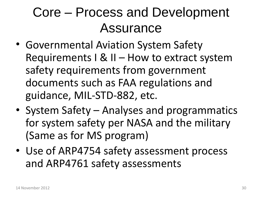#### Core – Process and Development Assurance

- Governmental Aviation System Safety Requirements I & II – How to extract system safety requirements from government documents such as FAA regulations and guidance, MIL-STD-882, etc.
- System Safety Analyses and programmatics for system safety per NASA and the military (Same as for MS program)
- Use of ARP4754 safety assessment process and ARP4761 safety assessments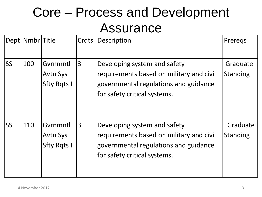#### Core – Process and Development Assurance

|           | Dept   Nmbr   Title |                                                    | Crdts | Description                                                                                                                                       | Preregs                     |
|-----------|---------------------|----------------------------------------------------|-------|---------------------------------------------------------------------------------------------------------------------------------------------------|-----------------------------|
| <b>SS</b> | 100                 | Gvrnmntl<br><b>Avtn Sys</b><br><b>Sfty Rgts I</b>  | 3     | Developing system and safety<br>requirements based on military and civil<br>governmental regulations and guidance<br>for safety critical systems. | Graduate<br><b>Standing</b> |
| <b>SS</b> | 110                 | Gyrnmntl<br><b>Avtn Sys</b><br><b>Sfty Rgts II</b> | 3     | Developing system and safety<br>requirements based on military and civil<br>governmental regulations and guidance<br>for safety critical systems. | Graduate<br><b>Standing</b> |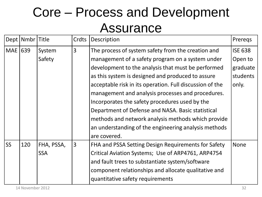#### Core – Process and Development Assurance

|           | Dept   Nmbr   Title |            | Crdts          | Description                                              | Preregs        |
|-----------|---------------------|------------|----------------|----------------------------------------------------------|----------------|
| MAE       | 639                 | System     | 3              | The process of system safety from the creation and       | <b>ISE 638</b> |
|           |                     | Safety     |                | management of a safety program on a system under         | Open to        |
|           |                     |            |                | development to the analysis that must be performed       | graduate       |
|           |                     |            |                | as this system is designed and produced to assure        | students       |
|           |                     |            |                | acceptable risk in its operation. Full discussion of the | only.          |
|           |                     |            |                | management and analysis processes and procedures.        |                |
|           |                     |            |                | Incorporates the safety procedures used by the           |                |
|           |                     |            |                | Department of Defense and NASA. Basic statistical        |                |
|           |                     |            |                | methods and network analysis methods which provide       |                |
|           |                     |            |                | an understanding of the engineering analysis methods     |                |
|           |                     |            |                | are covered.                                             |                |
| <b>SS</b> | 120                 | FHA, PSSA, | $\overline{3}$ | FHA and PSSA Setting Design Requirements for Safety      | <b>None</b>    |
|           |                     | <b>SSA</b> |                | Critical Aviation Systems; Use of ARP4761, ARP4754       |                |
|           |                     |            |                | and fault trees to substantiate system/software          |                |
|           |                     |            |                | component relationships and allocate qualitative and     |                |
|           |                     |            |                | quantitative safety requirements                         |                |